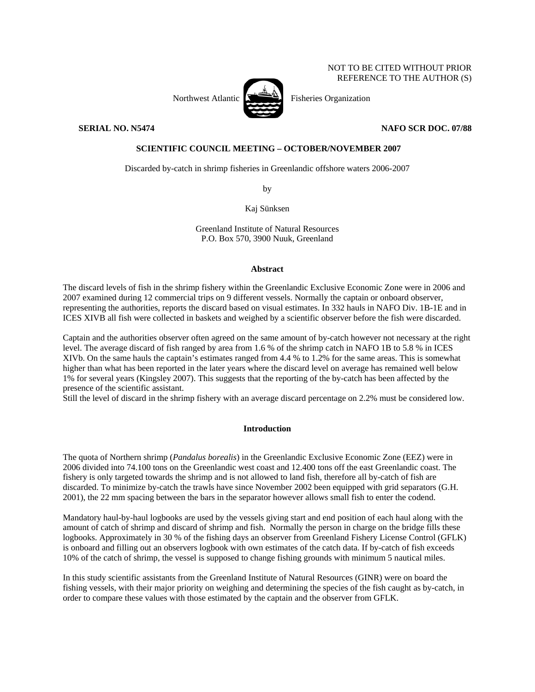NOT TO BE CITED WITHOUT PRIOR REFERENCE TO THE AUTHOR (S)



Northwest Atlantic **Fisheries** Organization

**SERIAL NO. N5474** NAFO SCR DOC. 07/88

# **SCIENTIFIC COUNCIL MEETING – OCTOBER/NOVEMBER 2007**

Discarded by-catch in shrimp fisheries in Greenlandic offshore waters 2006-2007

by

Kaj Sünksen

Greenland Institute of Natural Resources P.O. Box 570, 3900 Nuuk, Greenland

#### **Abstract**

The discard levels of fish in the shrimp fishery within the Greenlandic Exclusive Economic Zone were in 2006 and 2007 examined during 12 commercial trips on 9 different vessels. Normally the captain or onboard observer, representing the authorities, reports the discard based on visual estimates. In 332 hauls in NAFO Div. 1B-1E and in ICES XIVB all fish were collected in baskets and weighed by a scientific observer before the fish were discarded.

Captain and the authorities observer often agreed on the same amount of by-catch however not necessary at the right level. The average discard of fish ranged by area from 1.6 % of the shrimp catch in NAFO 1B to 5.8 % in ICES XIVb. On the same hauls the captain's estimates ranged from 4.4 % to 1.2% for the same areas. This is somewhat higher than what has been reported in the later years where the discard level on average has remained well below 1% for several years (Kingsley 2007). This suggests that the reporting of the by-catch has been affected by the presence of the scientific assistant.

Still the level of discard in the shrimp fishery with an average discard percentage on 2.2% must be considered low.

## **Introduction**

The quota of Northern shrimp (*Pandalus borealis*) in the Greenlandic Exclusive Economic Zone (EEZ) were in 2006 divided into 74.100 tons on the Greenlandic west coast and 12.400 tons off the east Greenlandic coast. The fishery is only targeted towards the shrimp and is not allowed to land fish, therefore all by-catch of fish are discarded. To minimize by-catch the trawls have since November 2002 been equipped with grid separators (G.H. 2001), the 22 mm spacing between the bars in the separator however allows small fish to enter the codend.

Mandatory haul-by-haul logbooks are used by the vessels giving start and end position of each haul along with the amount of catch of shrimp and discard of shrimp and fish. Normally the person in charge on the bridge fills these logbooks. Approximately in 30 % of the fishing days an observer from Greenland Fishery License Control (GFLK) is onboard and filling out an observers logbook with own estimates of the catch data. If by-catch of fish exceeds 10% of the catch of shrimp, the vessel is supposed to change fishing grounds with minimum 5 nautical miles.

In this study scientific assistants from the Greenland Institute of Natural Resources (GINR) were on board the fishing vessels, with their major priority on weighing and determining the species of the fish caught as by-catch, in order to compare these values with those estimated by the captain and the observer from GFLK.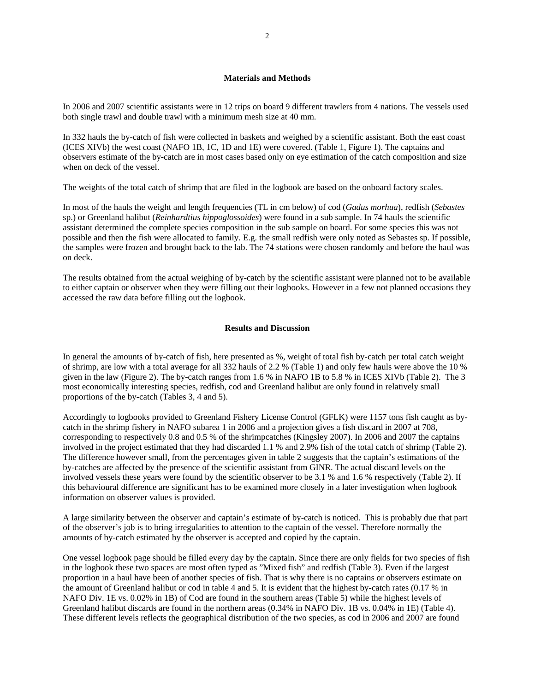#### **Materials and Methods**

In 2006 and 2007 scientific assistants were in 12 trips on board 9 different trawlers from 4 nations. The vessels used both single trawl and double trawl with a minimum mesh size at 40 mm.

In 332 hauls the by-catch of fish were collected in baskets and weighed by a scientific assistant. Both the east coast (ICES XIVb) the west coast (NAFO 1B, 1C, 1D and 1E) were covered. (Table 1, Figure 1). The captains and observers estimate of the by-catch are in most cases based only on eye estimation of the catch composition and size when on deck of the vessel.

The weights of the total catch of shrimp that are filed in the logbook are based on the onboard factory scales.

In most of the hauls the weight and length frequencies (TL in cm below) of cod (*Gadus morhua*), redfish (*Sebastes* sp.) or Greenland halibut (*Reinhardtius hippoglossoides*) were found in a sub sample. In 74 hauls the scientific assistant determined the complete species composition in the sub sample on board. For some species this was not possible and then the fish were allocated to family. E.g. the small redfish were only noted as Sebastes sp. If possible, the samples were frozen and brought back to the lab. The 74 stations were chosen randomly and before the haul was on deck.

The results obtained from the actual weighing of by-catch by the scientific assistant were planned not to be available to either captain or observer when they were filling out their logbooks. However in a few not planned occasions they accessed the raw data before filling out the logbook.

### **Results and Discussion**

In general the amounts of by-catch of fish, here presented as %, weight of total fish by-catch per total catch weight of shrimp, are low with a total average for all 332 hauls of 2.2 % (Table 1) and only few hauls were above the 10 % given in the law (Figure 2). The by-catch ranges from 1.6 % in NAFO 1B to 5.8 % in ICES XIVb (Table 2). The 3 most economically interesting species, redfish, cod and Greenland halibut are only found in relatively small proportions of the by-catch (Tables 3, 4 and 5).

Accordingly to logbooks provided to Greenland Fishery License Control (GFLK) were 1157 tons fish caught as bycatch in the shrimp fishery in NAFO subarea 1 in 2006 and a projection gives a fish discard in 2007 at 708, corresponding to respectively 0.8 and 0.5 % of the shrimpcatches (Kingsley 2007). In 2006 and 2007 the captains involved in the project estimated that they had discarded 1.1 % and 2.9% fish of the total catch of shrimp (Table 2). The difference however small, from the percentages given in table 2 suggests that the captain's estimations of the by-catches are affected by the presence of the scientific assistant from GINR. The actual discard levels on the involved vessels these years were found by the scientific observer to be 3.1 % and 1.6 % respectively (Table 2). If this behavioural difference are significant has to be examined more closely in a later investigation when logbook information on observer values is provided.

A large similarity between the observer and captain's estimate of by-catch is noticed. This is probably due that part of the observer's job is to bring irregularities to attention to the captain of the vessel. Therefore normally the amounts of by-catch estimated by the observer is accepted and copied by the captain.

One vessel logbook page should be filled every day by the captain. Since there are only fields for two species of fish in the logbook these two spaces are most often typed as "Mixed fish" and redfish (Table 3). Even if the largest proportion in a haul have been of another species of fish. That is why there is no captains or observers estimate on the amount of Greenland halibut or cod in table 4 and 5. It is evident that the highest by-catch rates (0.17 % in NAFO Div. 1E vs. 0.02% in 1B) of Cod are found in the southern areas (Table 5) while the highest levels of Greenland halibut discards are found in the northern areas (0.34% in NAFO Div. 1B vs. 0.04% in 1E) (Table 4). These different levels reflects the geographical distribution of the two species, as cod in 2006 and 2007 are found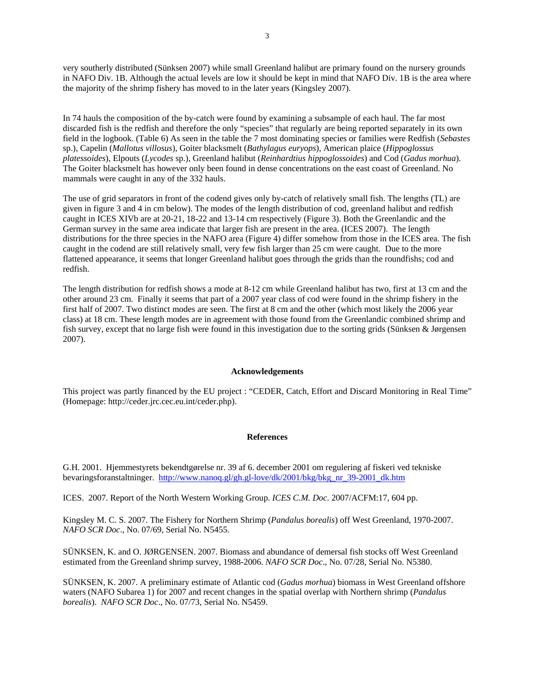very southerly distributed (Sünksen 2007) while small Greenland halibut are primary found on the nursery grounds in NAFO Div. 1B. Although the actual levels are low it should be kept in mind that NAFO Div. 1B is the area where the majority of the shrimp fishery has moved to in the later years (Kingsley 2007).

In 74 hauls the composition of the by-catch were found by examining a subsample of each haul. The far most discarded fish is the redfish and therefore the only "species" that regularly are being reported separately in its own field in the logbook. (Table 6) As seen in the table the 7 most dominating species or families were Redfish (*Sebastes* sp.), Capelin (*Mallotus villosus*), Goiter blacksmelt (*Bathylagus euryops*), American plaice (*Hippoglossus platessoides*), Elpouts (*Lycodes* sp.), Greenland halibut (*Reinhardtius hippoglossoides*) and Cod (*Gadus morhua*). The Goiter blacksmelt has however only been found in dense concentrations on the east coast of Greenland. No mammals were caught in any of the 332 hauls.

The use of grid separators in front of the codend gives only by-catch of relatively small fish. The lengths (TL) are given in figure 3 and 4 in cm below). The modes of the length distribution of cod, greenland halibut and redfish caught in ICES XIVb are at 20-21, 18-22 and 13-14 cm respectively (Figure 3). Both the Greenlandic and the German survey in the same area indicate that larger fish are present in the area. (ICES 2007). The length distributions for the three species in the NAFO area (Figure 4) differ somehow from those in the ICES area. The fish caught in the codend are still relatively small, very few fish larger than 25 cm were caught. Due to the more flattened appearance, it seems that longer Greenland halibut goes through the grids than the roundfishs; cod and redfish.

The length distribution for redfish shows a mode at 8-12 cm while Greenland halibut has two, first at 13 cm and the other around 23 cm. Finally it seems that part of a 2007 year class of cod were found in the shrimp fishery in the first half of 2007. Two distinct modes are seen. The first at 8 cm and the other (which most likely the 2006 year class) at 18 cm. These length modes are in agreement with those found from the Greenlandic combined shrimp and fish survey, except that no large fish were found in this investigation due to the sorting grids (Sünksen & Jørgensen 2007).

#### **Acknowledgements**

This project was partly financed by the EU project : "CEDER, Catch, Effort and Discard Monitoring in Real Time" (Homepage: http://ceder.jrc.cec.eu.int/ceder.php).

# **References**

G.H. 2001. Hjemmestyrets bekendtgørelse nr. 39 af 6. december 2001 om regulering af fiskeri ved tekniske bevaringsforanstaltninger. http://www.nanoq.gl/gh.gl-love/dk/2001/bkg/bkg\_nr\_39-2001\_dk.htm

ICES. 2007. Report of the North Western Working Group. *ICES C.M. Doc*. 2007/ACFM:17, 604 pp.

Kingsley M. C. S. 2007. The Fishery for Northern Shrimp (*Pandalus borealis*) off West Greenland, 1970-2007. *NAFO SCR Doc*., No. 07/69, Serial No. N5455.

SÜNKSEN, K. and O. JØRGENSEN. 2007. Biomass and abundance of demersal fish stocks off West Greenland estimated from the Greenland shrimp survey, 1988-2006. *NAFO SCR Doc*., No. 07/28, Serial No. N5380.

SÜNKSEN, K. 2007. A preliminary estimate of Atlantic cod (*Gadus morhua*) biomass in West Greenland offshore waters (NAFO Subarea 1) for 2007 and recent changes in the spatial overlap with Northern shrimp (*Pandalus borealis*). *NAFO SCR Doc*., No. 07/73, Serial No. N5459.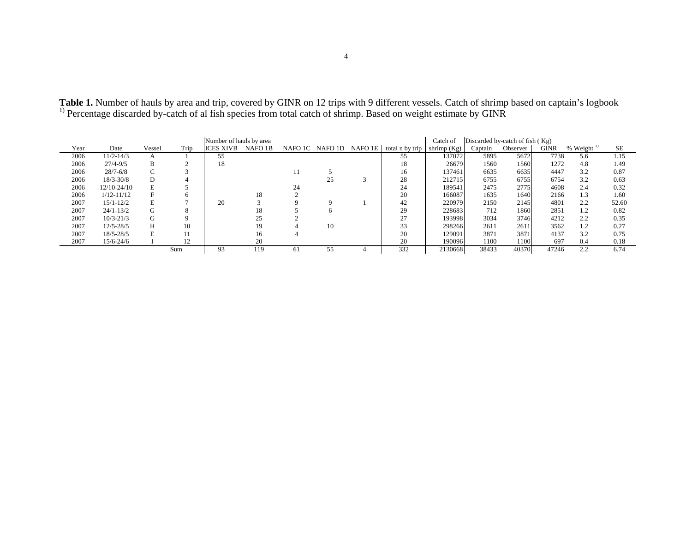| Number of hauls by area |                 |        |      |                  |         |    |                         |  | Catch of        | Discarded by-catch of fish $(Kg)$ |         |          |             |                        |       |
|-------------------------|-----------------|--------|------|------------------|---------|----|-------------------------|--|-----------------|-----------------------------------|---------|----------|-------------|------------------------|-------|
| Year                    | Date            | Vessel | Trip | <b>ICES XIVB</b> | NAFO 1B |    | NAFO 1C NAFO 1D NAFO 1E |  | total n by trip | shrimp $(Kg)$                     | Captain | Observer | <b>GINR</b> | % Weight $\frac{1}{2}$ | SE    |
| 2006                    | 11/2-14/3       |        |      | 55               |         |    |                         |  | 55              | 137072                            | 5895    | 5672     | 7738        | 5.6                    | 1.15  |
| 2006                    | $27/4 - 9/5$    | B      |      | 18               |         |    |                         |  | 18              | 26679                             | 1560    | 1560     | 1272        | 4.8                    | 1.49  |
| 2006                    | $28/7 - 6/8$    | $\sim$ |      |                  |         |    |                         |  | 16              | 137461                            | 6635    | 6635     | 4447        | 3.2                    | 0.87  |
| 2006                    | $18/3 - 30/8$   | D      |      |                  |         |    |                         |  | 28              | 212715                            | 6755    | 6755     | 6754        | 3.2                    | 0.63  |
| 2006                    | $12/10 - 24/10$ | E      |      |                  |         | 24 |                         |  | 24              | 189541                            | 2475    | 2775     | 4608        | 2.4                    | 0.32  |
| 2006                    | $1/12 - 11/12$  | F      | h    |                  | 18      |    |                         |  | 20              | 166087                            | 1635    | 1640     | 2166        | 1.3                    | 1.60  |
| 2007                    | $15/1 - 12/2$   | E      |      | 20               |         |    |                         |  | 42              | 220979                            | 2150    | 2145     | 4801        | 2.2                    | 52.60 |
| 2007                    | $24/1 - 13/2$   | G      | 8    |                  | 18      |    |                         |  | 29              | 228683                            | 712     | 1860     | 2851        | 1.2                    | 0.82  |
| 2007                    | $10/3 - 21/3$   | G      |      |                  | 25      |    |                         |  | 27              | 193998                            | 3034    | 3746     | 4212        | 2.2                    | 0.35  |
| 2007                    | $12/5 - 28/5$   | Н      | 10   |                  | 19      |    | 10                      |  | 33              | 298266                            | 2611    | 2611     | 3562        | 1.2                    | 0.27  |
| 2007                    | $18/5 - 28/5$   | E      | 11   |                  | 16      |    |                         |  | 20              | 129091                            | 3871    | 3871     | 4137        | 3.2                    | 0.75  |
| 2007                    | $15/6 - 24/6$   |        | 12   |                  | 20      |    |                         |  | 20              | 190096                            | 1100    | 1100     | 697         | 0.4                    | 0.18  |
|                         |                 |        | Sum  | 93               | 119     | 61 |                         |  | 332             | 2130668                           | 38433   | 40370    | 47246       | 2.2                    | 6.74  |

**Table 1.** Number of hauls by area and trip, covered by GINR on 12 trips with 9 different vessels. Catch of shrimp based on captain's logbook  $1)$  Percentage discarded by-catch of al fish species from total catch of shrimp. Based on weight estimate by GINR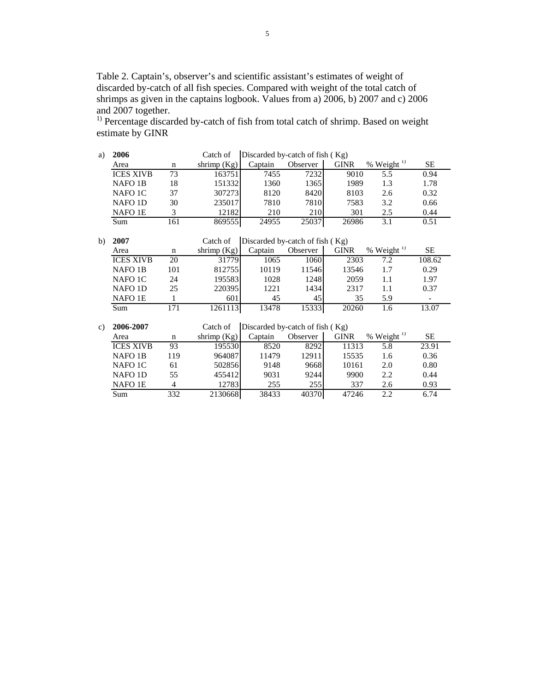Table 2. Captain's, observer's and scientific assistant's estimates of weight of discarded by-catch of all fish species. Compared with weight of the total catch of shrimps as given in the captains logbook. Values from a) 2006, b) 2007 and c) 2006 and 2007 together.

<sup>1)</sup> Percentage discarded by-catch of fish from total catch of shrimp. Based on weight estimate by GINR

| a) | 2006                |                | Catch of    | Discarded by-catch of fish (Kg) |          |             |                          |           |
|----|---------------------|----------------|-------------|---------------------------------|----------|-------------|--------------------------|-----------|
|    | Area                | n              | shrimp (Kg) | Captain                         | Observer | <b>GINR</b> | $%$ Weight <sup>1)</sup> | <b>SE</b> |
|    | <b>ICES XIVB</b>    | 73             | 163751      | 7455                            | 7232     | 9010        | 5.5                      | 0.94      |
|    | NAFO <sub>1B</sub>  | 18             | 151332      | 1360                            | 1365     | 1989        | 1.3                      | 1.78      |
|    | NAFO <sub>1</sub> C | 37             | 307273      | 8120                            | 8420     | 8103        | 2.6                      | 0.32      |
|    | NAFO <sub>1</sub> D | 30             | 235017      | 7810                            | 7810     | 7583        | 3.2                      | 0.66      |
|    | <b>NAFO 1E</b>      | 3              | 12182       | 210                             | 210      | 301         | 2.5                      | 0.44      |
|    | Sum                 | 161            | 869555      | 24955                           | 25037    | 26986       | 3.1                      | 0.51      |
|    |                     |                |             |                                 |          |             |                          |           |
| b) | 2007                |                | Catch of    | Discarded by-catch of fish (Kg) |          |             |                          |           |
|    | Area                | $\mathbf n$    | shrimp (Kg) | Captain                         | Observer | <b>GINR</b> | % Weight <sup>1)</sup>   | SE        |
|    | <b>ICES XIVB</b>    | 20             | 31779       | 1065                            | 1060     | 2303        | 7.2                      | 108.62    |
|    | <b>NAFO 1B</b>      | 101            | 812755      | 10119                           | 11546    | 13546       | 1.7                      | 0.29      |
|    | NAFO <sub>1</sub> C | 24             | 195583      | 1028                            | 1248     | 2059        | 1.1                      | 1.97      |
|    | <b>NAFO 1D</b>      | 25             | 220395      | 1221                            | 1434     | 2317        | 1.1                      | 0.37      |
|    | NAFO <sub>1E</sub>  | 1              | 601         | 45                              | 45       | 35          | 5.9                      |           |
|    | Sum                 | 171            | 1261113     | 13478                           | 15333    | 20260       | 1.6                      | 13.07     |
|    |                     |                |             |                                 |          |             |                          |           |
| c) | 2006-2007           |                | Catch of    | Discarded by-catch of fish (Kg) |          |             |                          |           |
|    | Area                | $\mathbf n$    | shrimp (Kg) | Captain                         | Observer | <b>GINR</b> | $%$ Weight <sup>1)</sup> | <b>SE</b> |
|    | <b>ICES XIVB</b>    | 93             | 195530      | 8520                            | 8292     | 11313       | 5.8                      | 23.91     |
|    | NAFO <sub>1</sub> B | 119            | 964087      | 11479                           | 12911    | 15535       | 1.6                      | 0.36      |
|    | NAFO 1C             | 61             | 502856      | 9148                            | 9668     | 10161       | 2.0                      | 0.80      |
|    | NAFO <sub>1D</sub>  | 55             | 455412      | 9031                            | 9244     | 9900        | 2.2                      | 0.44      |
|    | NAFO <sub>1E</sub>  | $\overline{4}$ | 12783       | 255                             | 255      | 337         | 2.6                      | 0.93      |
|    | Sum                 | 332            | 2130668     | 38433                           | 40370    | 47246       | 2.2                      | 6.74      |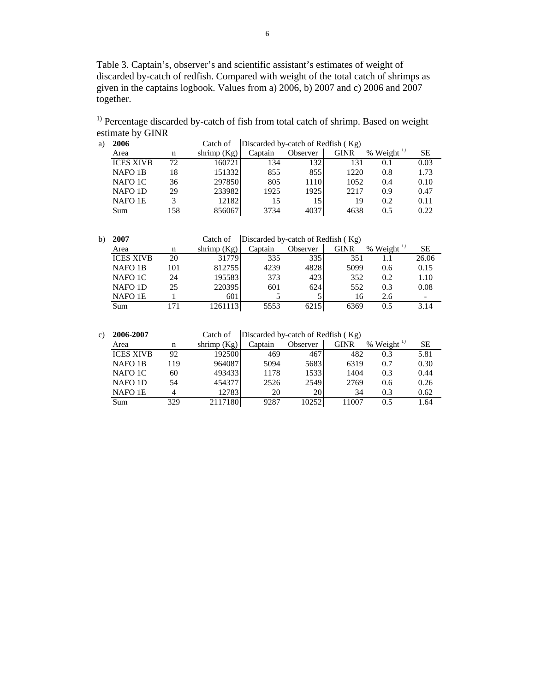Table 3. Captain's, observer's and scientific assistant's estimates of weight of discarded by-catch of redfish. Compared with weight of the total catch of shrimps as given in the captains logbook. Values from a) 2006, b) 2007 and c) 2006 and 2007 together.

<sup>1)</sup> Percentage discarded by-catch of fish from total catch of shrimp. Based on weight estimate by GINR

| a) | 2006                | Discarded by-catch of Redfish (Kg)<br>Catch of |               |         |          |             |                        |      |  |
|----|---------------------|------------------------------------------------|---------------|---------|----------|-------------|------------------------|------|--|
|    | Area                | n                                              | shrimp $(Kg)$ | Captain | Observer | <b>GINR</b> | % Weight $\frac{1}{2}$ | SЕ   |  |
|    | <b>ICES XIVB</b>    | 72                                             | 1607211       | 134     | 1321     | 131         | 0.1                    | 0.03 |  |
|    | NAFO <sub>1</sub> B | 18                                             | 151332        | 855     | 855      | 1220        | 0.8                    | 1.73 |  |
|    | NAFO 1C             | 36                                             | 297850        | 805     | 1110     | 1052        | 0.4                    | 0.10 |  |
|    | NAFO <sub>1</sub> D | 29                                             | 233982        | 1925    | 1925     | 2217        | 0.9                    | 0.47 |  |
|    | NAFO 1E             |                                                | 12182         | 15      | 15       | 19          | 0.2                    | 0.11 |  |
|    | Sum                 | 158                                            | 856067        | 3734    |          | 4638        | 0.5                    | 0.22 |  |

b) **2007** Catch of Discarded by-catch of Redfish ( Kg)

| ---                 |     |               |         |          |      |                                |       |
|---------------------|-----|---------------|---------|----------|------|--------------------------------|-------|
| Area                | n   | shrimp $(Kg)$ | Captain | Observer | GINR | Weight $^{1}$<br>$\frac{0}{0}$ | SЕ    |
| <b>ICES XIVB</b>    | 20  | 31779         | 335     | 335      | 351  |                                | 26.06 |
| NAFO <sub>1</sub> B | 101 | 812755        | 4239    | 4828     | 5099 | 0.6                            | 0.15  |
| NAFO 1C             | 24  | 1955831       | 373     | 423      | 352  | 0.2                            | 1.10  |
| <b>NAFO 1D</b>      | 25  | 220395        | 601     | 624      | 552  | 0.3                            | 0.08  |
| NAFO 1E             |     | 601           |         |          | 16   | 2.6                            |       |
| Sum                 |     |               | 5553    | 62151    | 6369 | 0.5                            | 3.14  |

| c) | 2006-2007           |     | Catch of      | Discarded by-catch of Redfish (Kg) |          |             |                        |      |  |
|----|---------------------|-----|---------------|------------------------------------|----------|-------------|------------------------|------|--|
|    | Area                | n   | shrimp $(Kg)$ | Captain                            | Observer | <b>GINR</b> | % Weight $\frac{1}{1}$ | SЕ   |  |
|    | <b>ICES XIVB</b>    | 92  | 192500        | 469                                | 467      | 482         | 0.3                    | 5.81 |  |
|    | NAFO <sub>1</sub> B | 119 | 964087        | 5094                               | 5683     | 6319        | 0.7                    | 0.30 |  |
|    | NAFO 1C             | 60  | 493433        | 1178                               | 1533     | 1404        | 0.3                    | 0.44 |  |
|    | NAFO <sub>1</sub> D | 54  | 454377        | 2526                               | 2549     | 2769        | 0.6                    | 0.26 |  |
|    | NAFO 1E             |     | 12783         | 20                                 | 20I      | 34          | 0.3                    | 0.62 |  |
|    | Sum                 | 329 | 2117180       | 9287                               | 10252    | 11007       | 0.5                    | 1.64 |  |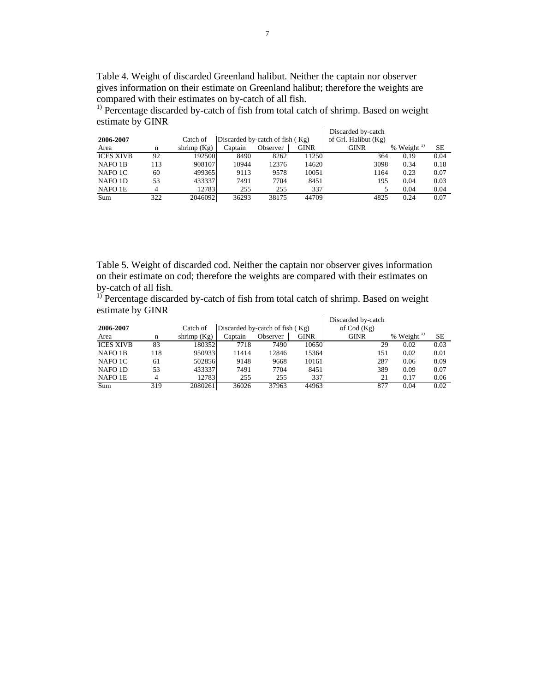Table 4. Weight of discarded Greenland halibut. Neither the captain nor observer gives information on their estimate on Greenland halibut; therefore the weights are compared with their estimates on by-catch of all fish.

<sup>1)</sup> Percentage discarded by-catch of fish from total catch of shrimp. Based on weight estimate by GINR Discarded by-catch

|                     |     |               |                                   |          |             | Discarded by-catch     |                 |      |
|---------------------|-----|---------------|-----------------------------------|----------|-------------|------------------------|-----------------|------|
| 2006-2007           |     | Catch of      | Discarded by-catch of fish $(Kg)$ |          |             | of Grl. Halibut $(Kg)$ |                 |      |
| Area                | n   | shrimp $(Kg)$ | Captain                           | Observer | <b>GINR</b> | <b>GINR</b>            | % Weight $^{1}$ | SE   |
| <b>ICES XIVB</b>    | 92  | 192500        | 8490                              | 8262     | 11250       | 364                    | 0.19            | 0.04 |
| NAFO 1B             | 113 | 908107        | 10944                             | 12376    | 14620       | 3098                   | 0.34            | 0.18 |
| NAFO 1C             | 60  | 499365        | 9113                              | 9578     | 10051       | 1164                   | 0.23            | 0.07 |
| NAFO <sub>1</sub> D | 53  | 433337        | 7491                              | 7704     | 8451        | 195                    | 0.04            | 0.03 |
| NAFO 1E             | 4   | 127831        | 255                               | 255      | 337         |                        | 0.04            | 0.04 |
| Sum                 | 322 | 2046092       | 36293                             | 38175    | 44709       | 4825                   | 0.24            | 0.07 |
|                     |     |               |                                   |          |             |                        |                 |      |

Table 5. Weight of discarded cod. Neither the captain nor observer gives information on their estimate on cod; therefore the weights are compared with their estimates on by-catch of all fish.

<sup>1)</sup> Percentage discarded by-catch of fish from total catch of shrimp. Based on weight estimate by GINR  $\mathbf{r}$ 

|                  |     |               |                                 |          |       | Discarded by-catch |                        |           |
|------------------|-----|---------------|---------------------------------|----------|-------|--------------------|------------------------|-----------|
| 2006-2007        |     | Catch of      | Discarded by-catch of fish (Kg) |          |       | of $Cod(Kg)$       |                        |           |
| Area             | n   | shrimp $(Kg)$ | Captain                         | Observer | GINR  | <b>GINR</b>        | % Weight $\frac{1}{2}$ | <b>SE</b> |
| <b>ICES XIVB</b> | 83  | 180352        | 7718                            | 7490     | 10650 | 29                 | 0.02                   | 0.03      |
| NAFO 1B          | 118 | 950933        | 11414                           | 12846    | 15364 | 151                | 0.02                   | 0.01      |
| NAFO 1C          | 61  | 502856        | 9148                            | 9668     | 10161 | 287                | 0.06                   | 0.09      |
| NAFO 1D          | 53  | 433337        | 7491                            | 7704     | 8451  | 389                | 0.09                   | 0.07      |
| NAFO 1E          |     | 12783         | 255                             | 255      | 337   | 21                 | 0.17                   | 0.06      |
| Sum              | 319 | 2080261       | 36026                           | 37963    | 44963 | 877                | 0.04                   | 0.02      |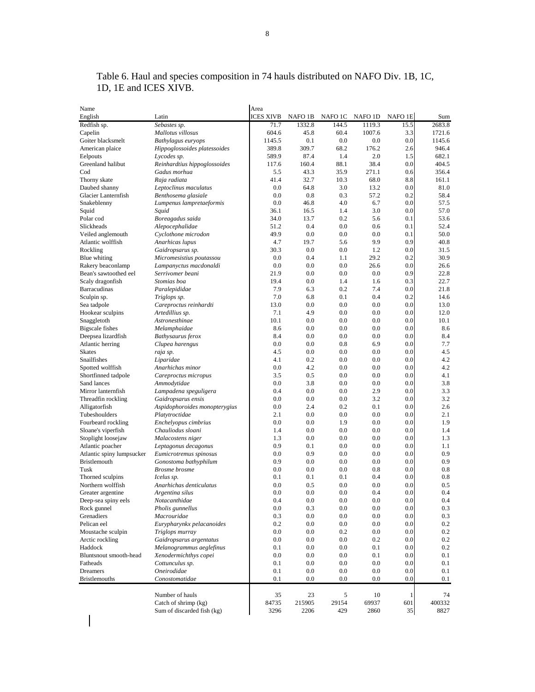| Name                                          |                                               | Area             |            |            |            |            |            |
|-----------------------------------------------|-----------------------------------------------|------------------|------------|------------|------------|------------|------------|
| English                                       | Latin                                         | <b>ICES XIVB</b> | NAFO 1B    | NAFO 1C    | NAFO 1D    | NAFO 1E    | Sum        |
| Redfish sp.                                   | Sebastes sp.                                  | 71.7             | 1332.8     | 144.5      | 1119.3     | 15.5       | 2683.8     |
| Capelin                                       | Mallotus villosus                             | 604.6            | 45.8       | 60.4       | 1007.6     | 3.3        | 1721.6     |
| Goiter blacksmelt                             | Bathylagus euryops                            | 1145.5           | 0.1        | 0.0        | 0.0        | 0.0        | 1145.6     |
| American plaice                               | Hippoglossoides platessoides                  | 389.8            | 309.7      | 68.2       | 176.2      | 2.6        | 946.4      |
| Eelpouts                                      | Lycodes sp.                                   | 589.9            | 87.4       | 1.4        | 2.0        | 1.5        | 682.1      |
| Greenland halibut                             | Reinhardtius hippoglossoides                  | 117.6            | 160.4      | 88.1       | 38.4       | 0.0        | 404.5      |
| Cod                                           | Gadus morhua                                  | 5.5              | 43.3       | 35.9       | 271.1      | 0.6        | 356.4      |
| Thorny skate                                  | Raja radiata                                  | 41.4             | 32.7       | 10.3       | 68.0       | 8.8        | 161.1      |
| Daubed shanny                                 | Leptoclinus maculatus                         | 0.0              | 64.8       | 3.0        | 13.2       | 0.0        | 81.0       |
| Glacier Lanternfish                           | Benthosema glasiale                           | 0.0              | 0.8        | 0.3        | 57.2       | 0.2        | 58.4       |
| Snakeblenny                                   | Lumpenus lampretaeformis                      | 0.0              | 46.8       | 4.0        | 6.7        | 0.0        | 57.5       |
| Squid                                         | Squid                                         | 36.1             | 16.5       | 1.4        | 3.0        | 0.0        | 57.0       |
| Polar cod                                     | Boreagadus saida                              | 34.0             | 13.7       | 0.2        | 5.6        | 0.1        | 53.6       |
| Slickheads                                    | Alepocephalidae                               | 51.2             | 0.4        | $0.0\,$    | 0.6        | 0.1        | 52.4       |
| Veiled anglemouth                             | Cyclothone microdon                           | 49.9             | 0.0        | 0.0        | 0.0        | 0.1        | 50.0       |
| Atlantic wolffish                             | Anarhicas lupus                               | 4.7              | 19.7       | 5.6        | 9.9        | 0.9        | 40.8       |
| Rockling                                      | Gaidropsarus sp.                              | 30.3             | 0.0        | 0.0        | 1.2        | 0.0        | 31.5       |
| Blue whiting                                  | Micromesistius poutassou                      | 0.0              | 0.4        | 1.1        | 29.2       | 0.2        | 30.9       |
| Rakery beaconlamp                             | Lampanyctus macdonaldi                        | 0.0              | 0.0        | 0.0        | 26.6       | 0.0        | 26.6       |
| Bean's sawtoothed eel                         | Serrivomer beani                              | 21.9             | 0.0        | 0.0        | 0.0        | 0.9        | 22.8       |
| Scaly dragonfish                              | Stomias boa                                   | 19.4             | 0.0        | 1.4        | 1.6        | 0.3        | 22.7       |
| Barracudinas                                  | Paralepididae                                 | 7.9              | 6.3        | 0.2        | 7.4        | 0.0        | 21.8       |
| Sculpin sp.                                   | Triglops sp.                                  | 7.0              | 6.8        | 0.1        | 0.4        | 0.2        | 14.6       |
| Sea tadpole                                   | Careproctus reinhardti                        | 13.0             | 0.0        | 0.0        | 0.0        | 0.0        | 13.0       |
| Hookear sculpins                              | Artedillius sp.                               | 7.1              | 4.9        | 0.0        | 0.0        | 0.0        | 12.0       |
| Snaggletoth                                   | Astronesthinae                                | 10.1             | 0.0        | 0.0        | 0.0        | 0.0        | 10.1       |
| <b>Bigscale</b> fishes                        | Melamphaidae                                  | 8.6              | 0.0        | 0.0        | 0.0        | 0.0        | 8.6        |
| Deepsea lizardfish                            | Bathysaurus ferox                             | 8.4              | 0.0        | 0.0        | 0.0        | 0.0        | 8.4        |
| Atlantic herring                              | Clupea harengus                               | 0.0              | 0.0        | 0.8        | 6.9        | 0.0        | 7.7        |
| <b>Skates</b>                                 | raja sp.                                      | 4.5              | 0.0        | 0.0        | 0.0        | 0.0        | 4.5        |
| Snailfishes                                   | Liparidae                                     | 4.1              | 0.2        | 0.0        | 0.0        | 0.0        | 4.2        |
| Spotted wolffish                              | Anarhichas minor                              | 0.0              | 4.2        | 0.0        | 0.0        | 0.0        | 4.2        |
| Shortfinned tadpole                           | Careproctus micropus                          | 3.5              | 0.5        | 0.0        | 0.0        | 0.0        | 4.1        |
| Sand lances                                   | Ammodytidae                                   | 0.0              | 3.8        | 0.0        | 0.0        | 0.0        | 3.8        |
| Mirror lanternfish                            | Lampadena speguligera                         | 0.4              | 0.0        | 0.0        | 2.9        | 0.0        | 3.3        |
| Threadfin rockling                            | Gaidropsarus ensis                            | 0.0              | 0.0        | 0.0        | 3.2        | 0.0        | 3.2        |
| Alligatorfish                                 | Aspidophoroides monopterygius                 | 0.0<br>2.1       | 2.4        | 0.2<br>0.0 | 0.1<br>0.0 | 0.0        | 2.6<br>2.1 |
| Tubeshoulders                                 | Platytroctidae                                | 0.0              | 0.0        | 1.9        | 0.0        | 0.0<br>0.0 | 1.9        |
| Fourbeard rockling                            | Enchelyopus cimbrius                          |                  | 0.0<br>0.0 | 0.0        | 0.0        | 0.0        | 1.4        |
| Sloane's viperfish                            | Chauliodus sloani                             | 1.4              |            | 0.0        | 0.0        | 0.0        | 1.3        |
| Stoplight loosejaw                            | Malacostens niger                             | 1.3<br>0.9       | 0.0<br>0.1 | 0.0        | 0.0        | 0.0        | 1.1        |
| Atlantic poacher<br>Atlantic spiny lumpsucker | Leptagonus decagonus                          | 0.0              | 0.9        | 0.0        | 0.0        | 0.0        | 0.9        |
| Bristlemouth                                  | Eumicrotremus spinosus                        | 0.9              | 0.0        | 0.0        | 0.0        | 0.0        | 0.9        |
| Tusk                                          | Gonostoma bathyphilum<br><b>Brosme</b> brosme | 0.0              | 0.0        | $_{0.0}$   | 0.8        | 0.0        | 0.8        |
| Thorned sculpins                              | Icelus sp.                                    | 0.1              | 0.1        | 0.1        | 0.4        | 0.0        | 0.8        |
| Northern wolffish                             | Anarhichas denticulatus                       | 0.0              | 0.5        | 0.0        | 0.0        | 0.0        | 0.5        |
| Greater argentine                             | Argentina silus                               | 0.0              | 0.0        | 0.0        | 0.4        | 0.0        | 0.4        |
| Deep-sea spiny eels                           | Notacanthidae                                 | 0.4              | 0.0        | 0.0        | 0.0        | 0.0        | 0.4        |
| Rock gunnel                                   | Pholis gunnellus                              | 0.0              | 0.3        | $0.0\,$    | 0.0        | 0.0        | 0.3        |
| Grenadiers                                    | Macrouridae                                   | 0.3              | 0.0        | $0.0\,$    | 0.0        | 0.0        | 0.3        |
| Pelican eel                                   | Eurypharynkx pelacanoides                     | 0.2              | 0.0        | $0.0\,$    | 0.0        | 0.0        | 0.2        |
| Moustache sculpin                             | Triglops murray                               | 0.0              | 0.0        | 0.2        | 0.0        | 0.0        | 0.2        |
| Arctic rockling                               | Gaidropsarus argentatus                       | 0.0              | 0.0        | $0.0\,$    | 0.2        | 0.0        | 0.2        |
| Haddock                                       | Melanogrammus aeglefinus                      | 0.1              | 0.0        | 0.0        | 0.1        | 0.0        | 0.2        |
| Bluntsnout smooth-head                        | Xenodermichthys copei                         | 0.0              | 0.0        | $0.0\,$    | 0.1        | 0.0        | 0.1        |
| Fatheads                                      | Cottunculus sp.                               | 0.1              | 0.0        | $0.0\,$    | 0.0        | 0.0        | 0.1        |
| Dreamers                                      | Oneirodidae                                   | 0.1              | 0.0        | $0.0\,$    | 0.0        | 0.0        | 0.1        |
| <b>Bristlemouths</b>                          | Conostomatidae                                | 0.1              | 0.0        | 0.0        | 0.0        | 0.0        | 0.1        |
|                                               |                                               |                  |            |            |            |            |            |
|                                               | Number of hauls                               | 35               | 23         | 5          | 10         | 1          | 74         |
|                                               | Catch of shrimp (kg)                          | 84735            | 215905     | 29154      | 69937      | 601        | 400332     |
|                                               | Sum of discarded fish (kg)                    | 3296             | 2206       | 429        | 2860       | 35         | 8827       |

Table 6. Haul and species composition in 74 hauls distributed on NAFO Div. 1B, 1C, 1D, 1E and ICES XIVB.

 $\overline{\phantom{a}}$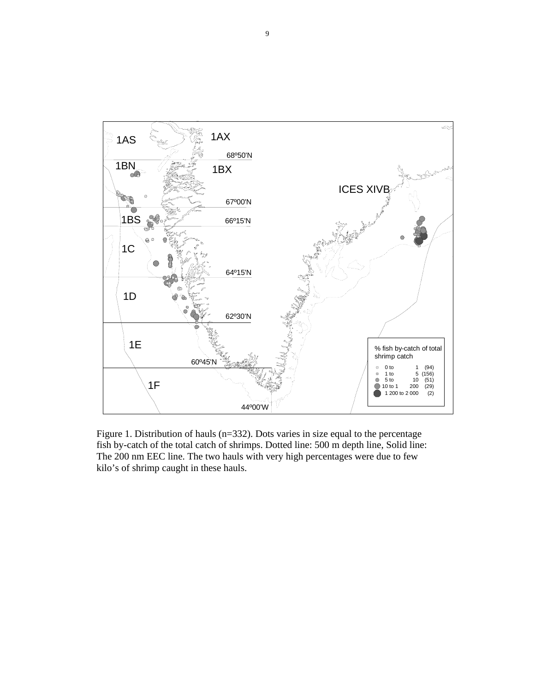

Figure 1. Distribution of hauls (n=332). Dots varies in size equal to the percentage fish by-catch of the total catch of shrimps. Dotted line: 500 m depth line, Solid line: The 200 nm EEC line. The two hauls with very high percentages were due to few kilo's of shrimp caught in these hauls.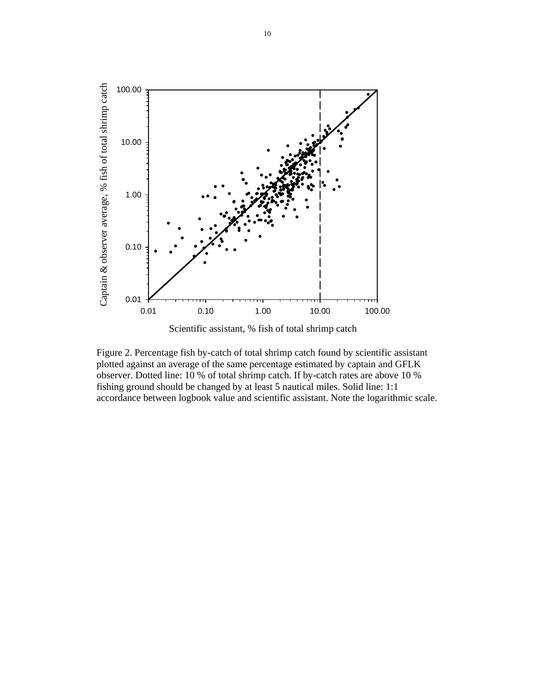

Scientific assistant, % fish of total shrimp catch

Figure 2. Percentage fish by-catch of total shrimp catch found by scientific assistant plotted against an average of the same percentage estimated by captain and GFLK observer. Dotted line: 10 % of total shrimp catch. If by-catch rates are above 10 % fishing ground should be changed by at least 5 nautical miles. Solid line: 1:1 accordance between logbook value and scientific assistant. Note the logarithmic scale.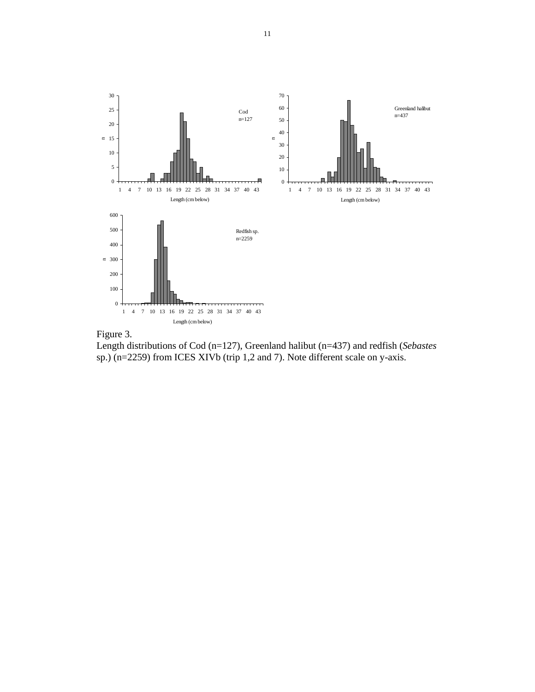



Length distributions of Cod (n=127), Greenland halibut (n=437) and redfish (*Sebastes* sp.) (n=2259) from ICES XIVb (trip 1,2 and 7). Note different scale on y-axis.